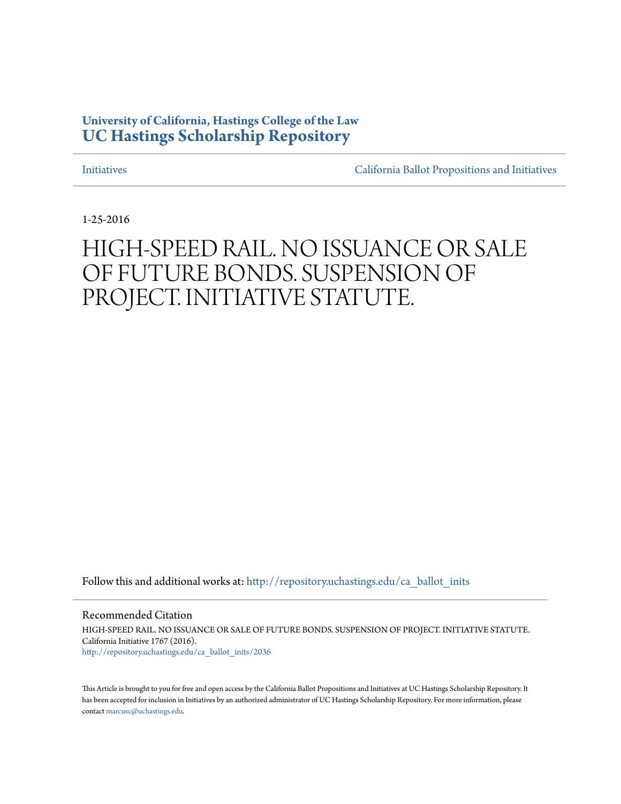# **University of California, Hastings College of the Law [UC Hastings Scholarship Repository](http://repository.uchastings.edu?utm_source=repository.uchastings.edu%2Fca_ballot_inits%2F2036&utm_medium=PDF&utm_campaign=PDFCoverPages)**

[Initiatives](http://repository.uchastings.edu/ca_ballot_inits?utm_source=repository.uchastings.edu%2Fca_ballot_inits%2F2036&utm_medium=PDF&utm_campaign=PDFCoverPages) [California Ballot Propositions and Initiatives](http://repository.uchastings.edu/ca_ballots?utm_source=repository.uchastings.edu%2Fca_ballot_inits%2F2036&utm_medium=PDF&utm_campaign=PDFCoverPages)

1-25-2016

# HIGH-SPEED RAIL. NO ISSUANCE OR SALE OF FUTURE BONDS. SUSPENSION OF PROJECT. INITIATIVE STATUTE.

Follow this and additional works at: [http://repository.uchastings.edu/ca\\_ballot\\_inits](http://repository.uchastings.edu/ca_ballot_inits?utm_source=repository.uchastings.edu%2Fca_ballot_inits%2F2036&utm_medium=PDF&utm_campaign=PDFCoverPages)

Recommended Citation

HIGH-SPEED RAIL. NO ISSUANCE OR SALE OF FUTURE BONDS. SUSPENSION OF PROJECT. INITIATIVE STATUTE. California Initiative 1767 (2016). [http://repository.uchastings.edu/ca\\_ballot\\_inits/2036](http://repository.uchastings.edu/ca_ballot_inits/2036?utm_source=repository.uchastings.edu%2Fca_ballot_inits%2F2036&utm_medium=PDF&utm_campaign=PDFCoverPages)

This Article is brought to you for free and open access by the California Ballot Propositions and Initiatives at UC Hastings Scholarship Repository. It has been accepted for inclusion in Initiatives by an authorized administrator of UC Hastings Scholarship Repository. For more information, please contact [marcusc@uchastings.edu](mailto:marcusc@uchastings.edu).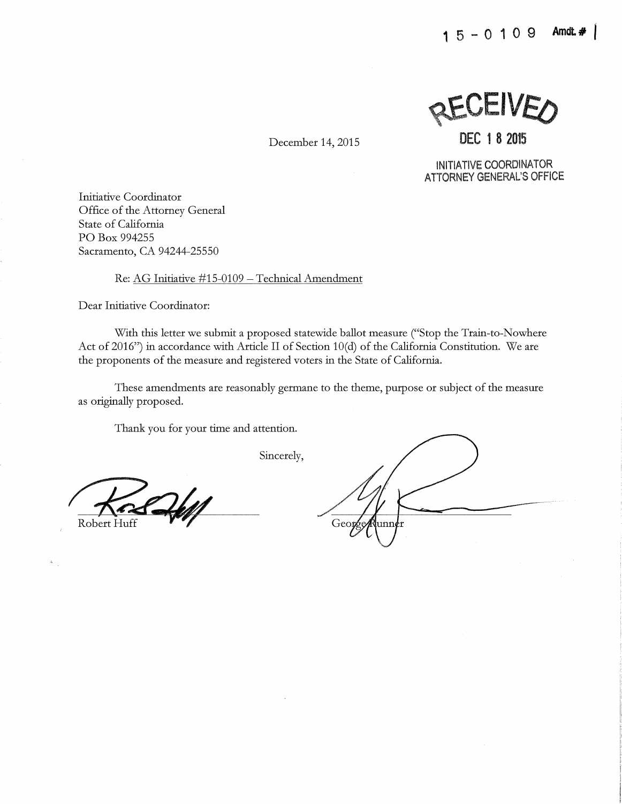**RECEIVED** 

**DEC 1 8 2015** 

December 14, 2015

INITIATIVE COORDINATOR ATTORNEY GENERAL'S OFFICE

Initiative Coordinator Office of the Attorney General State of California PO Box 994255 Sacramento, CA 94244-25550

Re: AG Initiative #15-0109 - Technical Amendment

Dear Initiative Coordinator:

With this letter we submit a proposed statewide ballot measure ("Stop the Train-to-Nowhere Act of 2016") in accordance with Article II of Section 10(d) of the California Constitution. We are the proponents of the measure and registered voters in the State of California.

These amendments are reasonably germane to the theme, purpose or subject of the measure as originally proposed.

Thank you for your time and attention.

Sincerely,

Robert Huff

George unn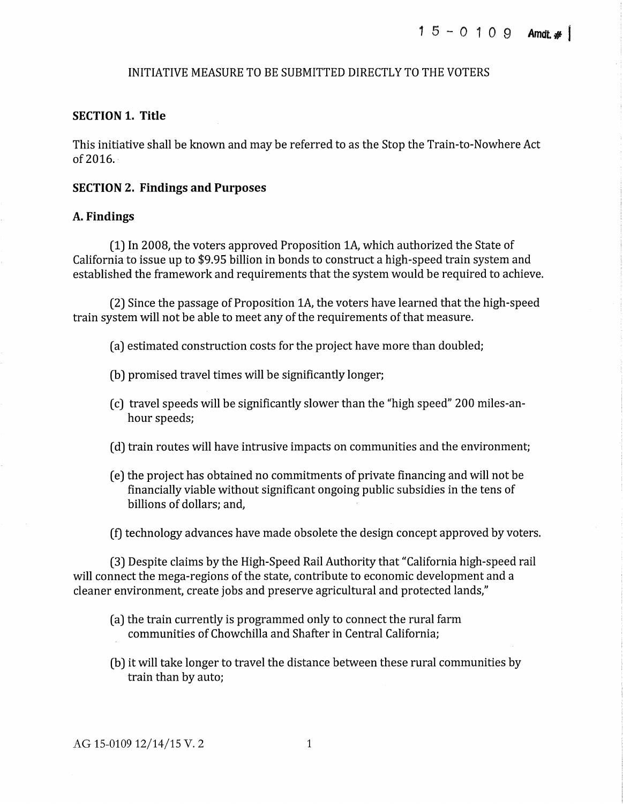# INITIATIVE MEASURE TO BE SUBMITTED DIRECTLY TO THE VOTERS

#### **SECTION 1. Title**

This initiative shall be known and may be referred to as the Stop the Train-to-Nowhere Act  $of 2016.$ 

#### **SECTION 2. Findings and Purposes**

#### **A. Findings**

(1) In 2008, the voters approved Proposition lA, which authorized the State of California to issue up to \$9.95 billion in bonds to construct a high-speed train system and established the framework and requirements that the system would be required to achieve.

(2) Since the passage of Proposition lA, the voters have learned that the high-speed train system will not be able to meet any of the requirements of that measure.

(a) estimated construction costs for the project have more than doubled;

- (b) promised travel times will be significantly longer;
- (c) travel speeds will be significantly slower than the "high speed" 200 miles-anhour speeds;
- (d) train routes will have intrusive impacts on communities and the environment;
- ( e) the project has obtained no commitments of private financing and will not be financially viable without significant ongoing public subsidies in the tens of billions of dollars; and,
- (f) technology advances have made obsolete the design concept approved by voters.

(3) Despite claims by the High-Speed Rail Authority that "California high-speed rail will connect the mega-regions of the state, contribute to economic development and a cleaner environment, create jobs and preserve agricultural and protected lands,"

- (a) the train currently is programmed only to connect the rural farm communities of Chowchilla and Shafter in Central California;
- (b) it will take longer to travel the distance between these rural communities by train than by auto;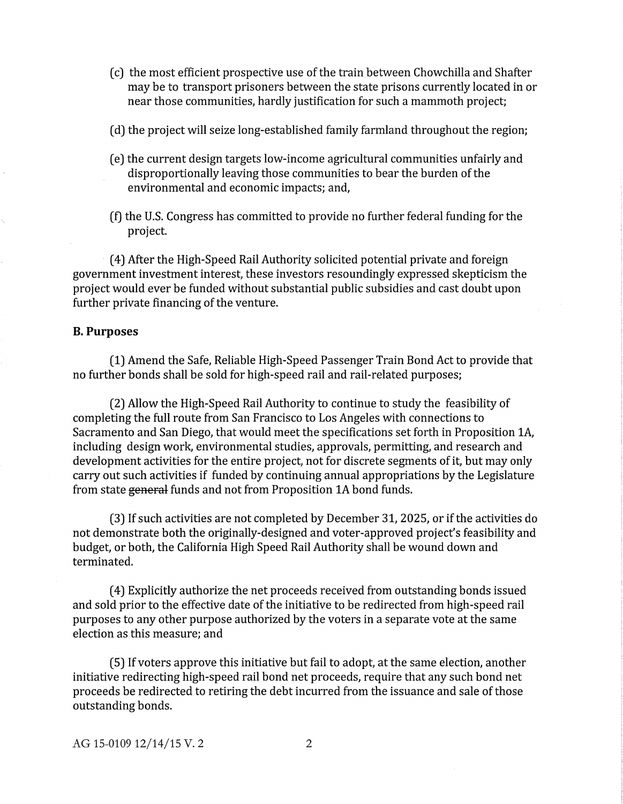- ( c) the most efficient prospective use of the train between Chowchilla and Shafter may be to transport prisoners between the state prisons currently located in or near those communities, hardly justification for such a mammoth project;
- (d) the project will seize long-established family farmland throughout the region;
- ( e) the current design targets low-income agricultural communities unfairly and disproportionally leaving those communities to bear the burden of the environmental and economic impacts; and,
- (f) the U.S. Congress has committed to provide no further federal funding for the project.

· ( 4) After the High-Speed Rail Authority solicited potential private and foreign government investment interest, these investors resoundingly expressed skepticism the project would ever be funded without substantial public subsidies and cast doubt upon further private financing of the venture.

#### **B. Purposes**

(1) Amend the Safe, Reliable High-Speed Passenger Train Bond Act to provide that no further bonds shall be sold for high-speed rail and rail-related purposes;

(2) Allow the High-Speed Rail Authority to continue to study the feasibility of completing the full route from San Francisco to Los Angeles with connections to Sacramento and San Diego, that would meet the specifications set forth in Proposition 1A, including design work, environmental studies, approvals, permitting, and research and development activities for the entire project, not for discrete segments of it, but may only carry out such activities if funded by continuing annual appropriations by the Legislature from state general funds and not from Proposition 1A bond funds.

(3) If such activities are not completed by December 31, 2025, or if the activities do not demonstrate both the originally-designed and voter-approved project's feasibility and budget, or both, the California High Speed Rail Authority shall be wound down and terminated.

( 4) Explicitly authorize the net proceeds received from outstanding bonds issued and sold prior to the effective date of the initiative to be redirected from high-speed rail purposes to any other purpose authorized by the voters in a separate vote at the same election as this measure; and

(5) If voters approve this initiative but fail to adopt, at the same election, another initiative redirecting high-speed rail bond net proceeds, require that any such bond net proceeds be redirected to retiring the debt incurred from the issuance and sale of those outstanding bonds.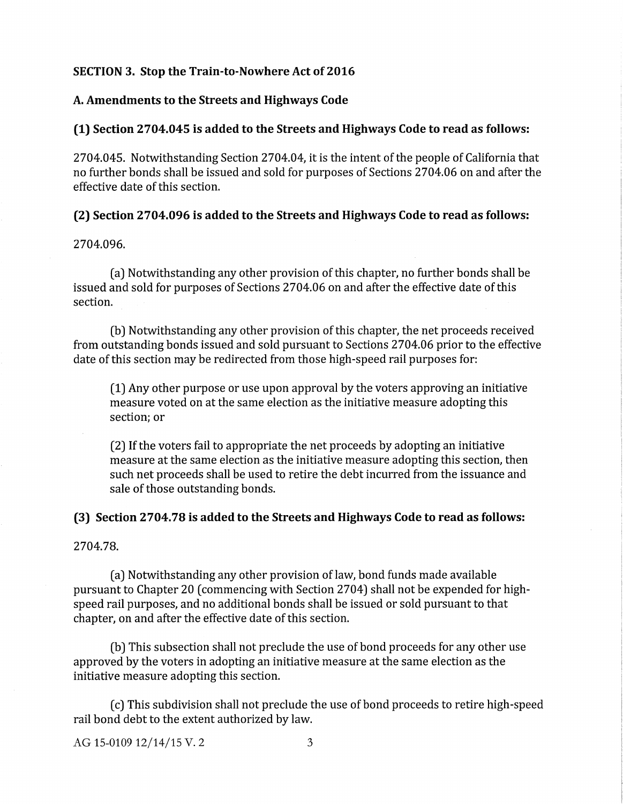#### **SECTION 3. Stop the Train-to-Nowhere Act of 2016**

#### **A. Amendments to the Streets and Highways Code**

#### **(1) Section 2704.045 is added to the Streets and Highways Code to read as follows:**

2704.045. Notwithstanding Section 2704.04, it is the intent of the people of California that no further bonds shall be issued and sold for purposes of Sections 2704.06 on and after the effective date of this section.

### **(2) Section 2704.096 is added to the Streets and Highways Code to read as follows:**

#### 2704.096.

(a) Notwithstanding any other provision of this chapter, no further bonds shall be issued and sold for purposes of Sections 2704.06 on and after the effective date of this section.

(b) Notwithstanding any other provision of this chapter, the net proceeds received from outstanding bonds issued and sold pursuant to Sections 2704.06 prior to the effective date of this section may be redirected from those high-speed rail purposes for:

(1) Any other purpose or use upon approval by the voters approving an initiative measure voted on at the same election as the initiative measure adopting this section; or

(2) If the voters fail to appropriate the net proceeds by adopting an initiative measure at the same election as the initiative measure adopting this section, then such net proceeds shall be used to retire the debt incurred from the issuance and sale of those outstanding bonds.

#### **(3) Section 2704.78 is added to the Streets and Highways Code to read as follows:**

2704.78.

(a) Notwithstanding any other provision of law, bond funds made available pursuant to Chapter 20 (commencing with Section 2704) shall not be expended for highspeed rail purposes, and no additional bonds shall be issued or sold pursuant to that chapter, on and after the effective date of this section.

(b) This subsection shall not preclude the use of bond proceeds for any other use approved by the voters in adopting an initiative measure at the same election as the initiative measure adopting this section.

(c) This subdivision shall not preclude the use of bond proceeds to retire high-speed rail bond debt to the extent authorized by law.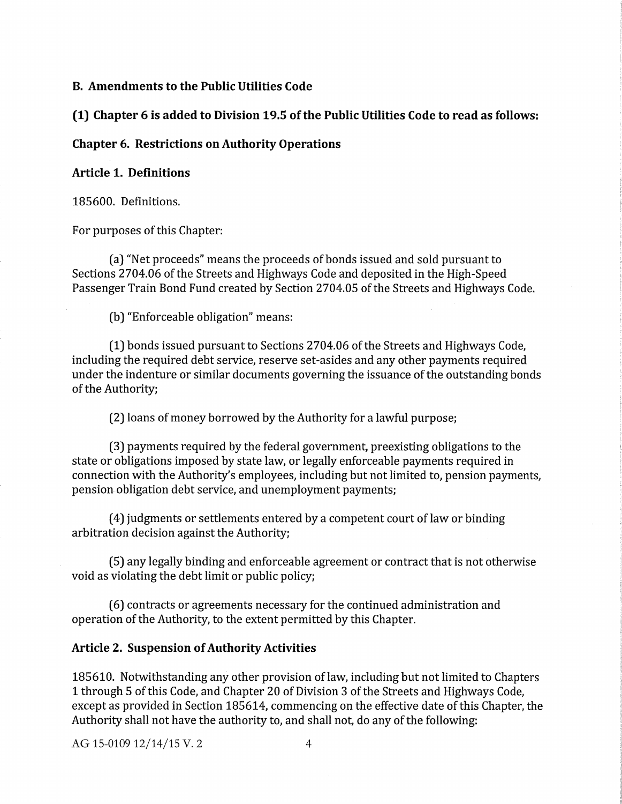#### **B. Amendments to the Public Utilities Code**

**(1) Chapter 6 is added to Division 19.5 of the Public Utilities Code to read as follows:** 

# **Chapter 6. Restrictions on Authority Operations**

# **Article 1. Definitions**

185600. Definitions.

For purposes of this Chapter:

(a) "Net proceeds" means the proceeds of bonds issued and sold pursuant to Sections 2704.06 of the Streets and Highways Code and deposited in the High-Speed Passenger Train Bond Fund created by Section 2704.05 of the Streets and Highways Code.

(b) "Enforceable obligation" means:

(1) bonds issued pursuant to Sections 2704.06 of the Streets and Highways Code, including the required debt service, reserve set-asides and any other payments required under the indenture or similar documents governing the issuance of the outstanding bonds of the Authority;

(2) loans of money borrowed by the Authority for a lawful purpose;

(3) payments required by the federal government, preexisting obligations to the state or obligations imposed by state law, or legally enforceable payments required in connection with the Authority's employees, including but not limited to, pension payments, pension obligation debt service, and unemployment payments;

( 4) judgments or settlements entered by a competent court of law or binding arbitration decision against the Authority;

(5) any legally binding and enforceable agreement or contract that is not otherwise void as violating the debt limit or public policy;

(6) contracts or agreements necessary for the continued administration and operation of the Authority, to the extent permitted by this Chapter.

# **Article 2. Suspension of Authority Activities**

185610. Notwithstanding any other provision oflaw, including but not limited to Chapters 1 through 5 of this Code, and Chapter 20 of Division 3 of the Streets and Highways Code, except as provided in Section 185614, commencing on the effective date of this Chapter, the Authority shall not have the authority to, and shall not, do any of the following: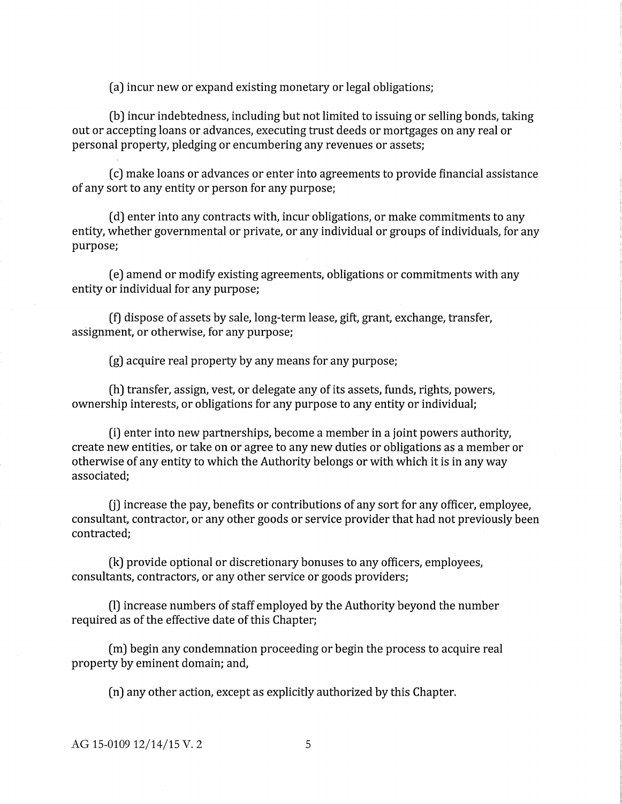(a) incur new or expand existing monetary or legal obligations;

(b) incur indebtedness, including but not limited to issuing or selling bonds, taking out or accepting loans or advances, executing trust deeds or mortgages on any real or personal property, pledging or encumbering any revenues or assets;

( c) make loans or advances or enter into agreements to provide financial assistance of any sort to any entity or person for any purpose;

( d) enter into any contracts with, incur obligations, or make commitments to any entity, whether governmental or private, or any individual or groups of individuals, for any purpose;

(e) amend or modify existing agreements, obligations or commitments with any entity or individual for any purpose;

(t) dispose of assets by sale, long-term lease, gift, grant, exchange, transfer, assignment, or otherwise, for any purpose;

(g) acquire real property by any means for any purpose;

(h) transfer, assign, vest, or delegate any of its assets, funds, rights, powers, ownership interests, or obligations for any purpose to any entity or individual;

(i) enter into new partnerships, become a member in a joint powers authority, create new entities, or take on or agree to any new duties or obligations as a member or otherwise of any entity to which the Authority belongs or with which it is in any way associated;

 $(i)$  increase the pay, benefits or contributions of any sort for any officer, employee, consultant, contractor, or any other goods or service provider that had not previously been contracted;

(k) provide optional or discretionary bonuses to any officers, employees, consultants, contractors, or any other service or goods providers;

(I) increase numbers of staff employed by the Authority beyond the number required as of the effective date of this Chapter;

(m) begin any condemnation proceeding or begin the process to acquire real property by eminent domain; and,

( n) any other action, except as explicitly authorized by this Chapter.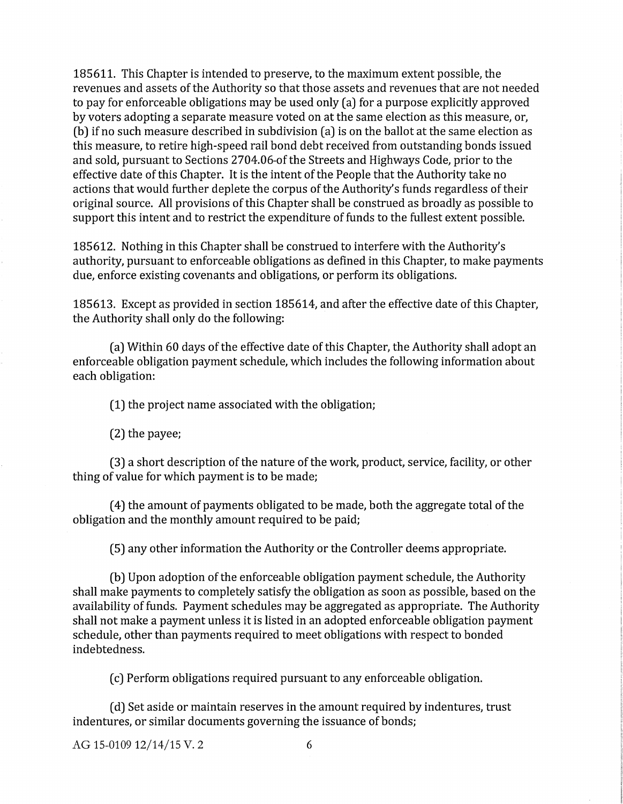185611. This Chapter is intended to preserve, to the maximum extent possible, the revenues and assets of the Authority so that those assets and revenues that are not needed to pay for enforceable obligations may be used only (a) for a purpose explicitly approved by voters adopting a separate measure voted on at the same election as this measure, or, (b) ifno such measure described in subdivision (a) is on the ballot at the same election as this measure, to retire high-speed rail bond debt received from outstanding bonds issued and sold, pursuant to Sections 2704.06-of the Streets and Highways Code, prior to the effective date of this Chapter. It is the intent of the People that the Authority take no actions that would further deplete the corpus of the Authority's funds regardless of their original source. All provisions of this Chapter shall be construed as broadly as possible to support this intent and to restrict the expenditure of funds to the fullest extent possible.

185612. Nothing in this Chapter shall be construed to interfere with the Authority's authority, pursuant to enforceable obligations as defined in this Chapter, to make payments due, enforce existing covenants and obligations, or perform its obligations.

185613. Except as provided in section 185614, and after the effective date of this Chapter, the Authority shall only do the following:

(a) Within 60 days of the effective date of this Chapter, the Authority shall adopt an enforceable obligation payment schedule, which includes the following information about each obligation:

(1) the project name associated with the obligation;

(2) the payee;

(3) a short description of the nature of the work, product, service, facility, or other thing of value for which payment is to be made;

( 4) the amount of payments obligated to be made, both the aggregate total of the obligation and the monthly amount required to be paid;

(5) any other information the Authority or the Controller deems appropriate.

(b) Upon adoption of the enforceable obligation payment schedule, the Authority shall make payments to completely satisfy the obligation as soon as possible, based on the availability of funds. Payment schedules may be aggregated as appropriate. The Authority shall not make a payment unless it is listed in an adopted enforceable obligation payment schedule, other than payments required to meet obligations with respect to bonded indebtedness.

(c) Perform obligations required pursuant to any enforceable obligation.

( d) Set aside or maintain reserves in the amount required by indentures, trust indentures, or similar documents governing the issuance of bonds;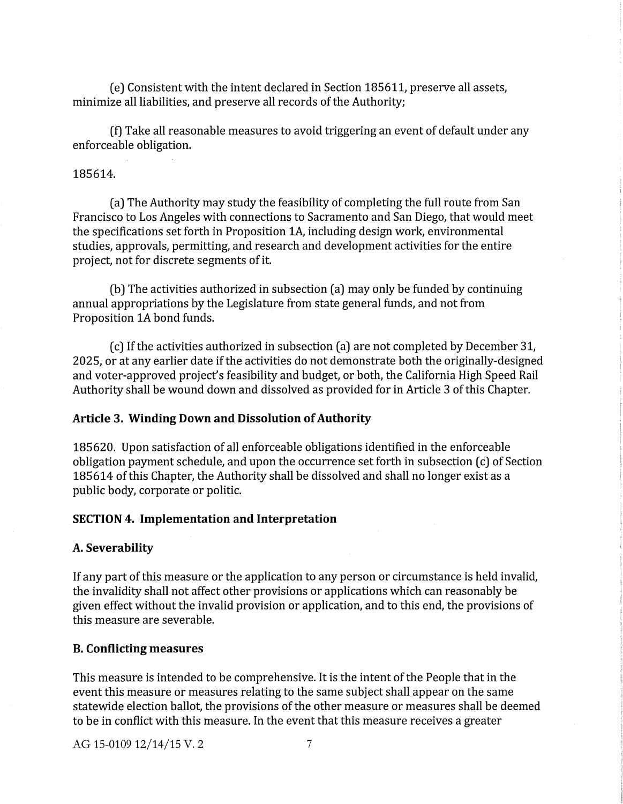( e) Consistent with the intent declared in Section 185611, preserve all assets, minimize all liabilities, and preserve all records of the Authority;

(f) Take all reasonable measures to avoid triggering an event of default under any enforceable obligation.

# 185614.

(a) The Authority may study the feasibility of completing the full route from San Francisco to Los Angeles with connections to Sacramento and San Diego, that would meet the specifications set forth in Proposition 1A, including design work, environmental studies, approvals, permitting, and research and development activities for the entire project, not for discrete segments of it.

(b) The activities authorized in subsection (a) may only be funded by continuing annual appropriations by the Legislature from state general funds, and not from Proposition 1A bond funds.

(c) If the activities authorized in subsection (a) are not completed by December 31, 2025, or at any earlier date if the activities do not demonstrate both the originally-designed and voter-approved project's feasibility and budget, or both, the California High Speed Rail Authority shall be wound down and dissolved as provided for in Article 3 of this Chapter.

# **Article 3. Winding Down and Dissolution of Authority**

185620. Upon satisfaction of all enforceable obligations identified in the enforceable obligation payment schedule, and upon the occurrence set forth in subsection (c) of Section 185614 of this Chapter, the Authority shall be dissolved and shall no longer exist as a public body, corporate or politic.

### **SECTION 4. Implementation and Interpretation**

# **A. Severability**

If any part of this measure or the application to any person or circumstance is held invalid, the invalidity shall not affect other provisions or applications which can reasonably be given effect without the invalid provision or application, and to this end, the provisions of this measure are severable.

#### **B. Conflicting measures**

This measure is intended to be comprehensive. It is the intent of the People that in the event this measure or measures relating to the same subject shall appear on the same statewide election ballot, the provisions of the other measure or measures shall be deemed to be in conflict with this measure. In the event that this measure receives a greater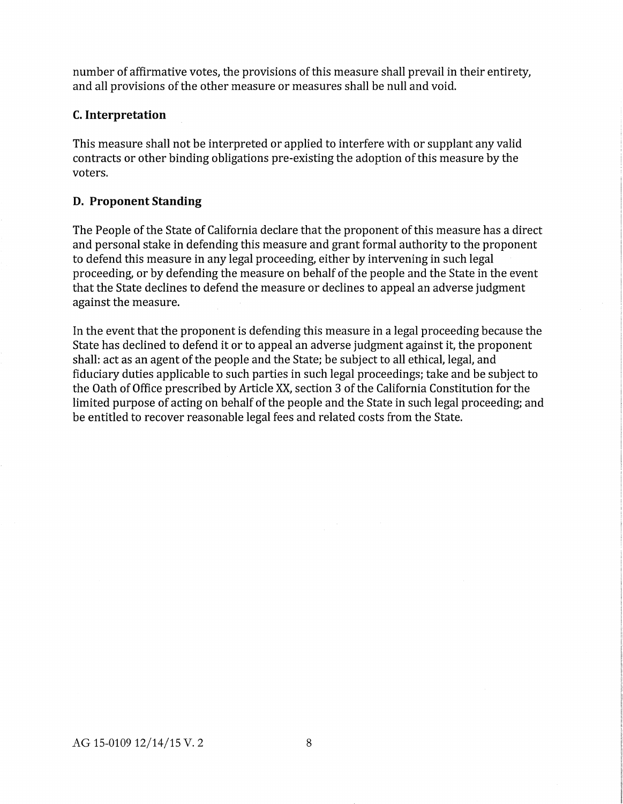number of affirmative votes, the provisions of this measure shall prevail in their entirety, and all provisions of the other measure or measures shall be null and void.

# **C. Interpretation**

This measure shall not be interpreted or applied to interfere with or supplant any valid contracts or other binding obligations pre-existing the adoption of this measure by the voters.

# **D. Proponent Standing**

The People of the State of California declare that the proponent of this measure has a direct and personal stake in defending this measure and grant formal authority to the proponent to defend this measure in any legal proceeding, either by intervening in such legal proceeding, or by defending the measure on behalf of the people and the State in the event that the State declines to defend the measure or declines to appeal an adverse judgment against the measure.

In the event that the proponent is defending this measure in a legal proceeding because the State has declined to defend it or to appeal an adverse judgment against it, the proponent shall: act as an agent of the people and the State; be subject to all ethical, legal, and fiduciary duties applicable to such parties in such legal proceedings; take and be subject to the Oath of Office prescribed by Article XX, section 3 of the California Constitution for the limited purpose of acting on behalf of the people and the State in such legal proceeding; and be entitled to recover reasonable legal fees and related costs from the State.